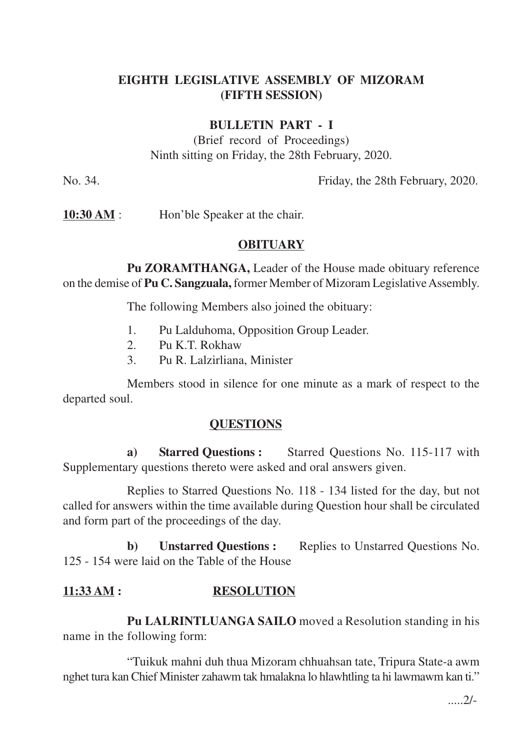# **EIGHTH LEGISLATIVE ASSEMBLY OF MIZORAM (FIFTH SESSION)**

### **BULLETIN PART - I**

(Brief record of Proceedings) Ninth sitting on Friday, the 28th February, 2020.

No. 34. Friday, the 28th February, 2020.

**10:30 AM** : Hon'ble Speaker at the chair.

#### **OBITUARY**

**Pu ZORAMTHANGA,** Leader of the House made obituary reference on the demise of **Pu C. Sangzuala,** former Member of Mizoram Legislative Assembly.

The following Members also joined the obituary:

- 1. Pu Lalduhoma, Opposition Group Leader.
- 2. Pu K.T. Rokhaw
- 3. Pu R. Lalzirliana, Minister

Members stood in silence for one minute as a mark of respect to the departed soul.

#### **QUESTIONS**

**a) Starred Questions :** Starred Questions No. 115-117 with Supplementary questions thereto were asked and oral answers given.

Replies to Starred Questions No. 118 - 134 listed for the day, but not called for answers within the time available during Question hour shall be circulated and form part of the proceedings of the day.

**b) Unstarred Questions :** Replies to Unstarred Questions No. 125 - 154 were laid on the Table of the House

### **11:33 AM : RESOLUTION**

**Pu LALRINTLUANGA SAILO** moved a Resolution standing in his name in the following form:

"Tuikuk mahni duh thua Mizoram chhuahsan tate, Tripura State-a awm nghet tura kan Chief Minister zahawm tak hmalakna lo hlawhtling ta hi lawmawm kan ti."

 $2/-$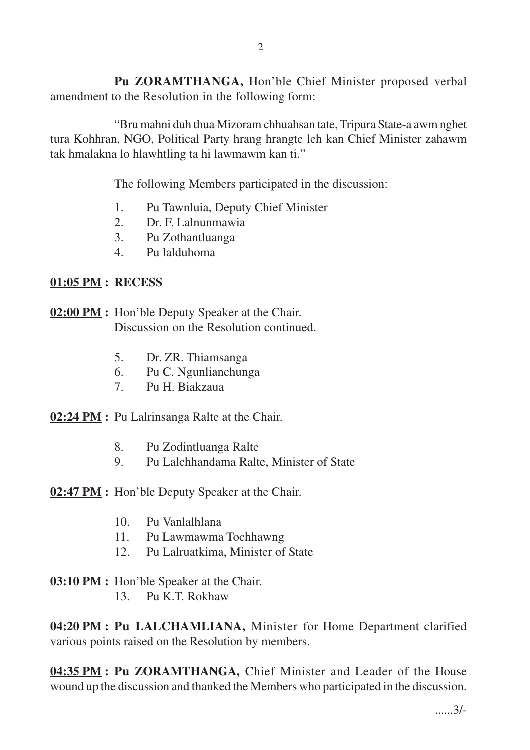**Pu ZORAMTHANGA,** Hon'ble Chief Minister proposed verbal amendment to the Resolution in the following form:

"Bru mahni duh thua Mizoram chhuahsan tate, Tripura State-a awm nghet tura Kohhran, NGO, Political Party hrang hrangte leh kan Chief Minister zahawm tak hmalakna lo hlawhtling ta hi lawmawm kan ti."

The following Members participated in the discussion:

- 1. Pu Tawnluia, Deputy Chief Minister
- 2. Dr. F. Lalnunmawia
- 3. Pu Zothantluanga
- 4. Pu lalduhoma

#### **01:05 PM : RECESS**

## **02:00 PM :** Hon'ble Deputy Speaker at the Chair. Discussion on the Resolution continued.

- 5. Dr. ZR. Thiamsanga
- 6. Pu C. Ngunlianchunga
- 7. Pu H. Biakzaua

**02:24 PM :** Pu Lalrinsanga Ralte at the Chair.

- 8. Pu Zodintluanga Ralte
- 9. Pu Lalchhandama Ralte, Minister of State

**02:47 PM :** Hon'ble Deputy Speaker at the Chair.

- 10. Pu Vanlalhlana
- 11. Pu Lawmawma Tochhawng
- 12. Pu Lalruatkima, Minister of State

### **03:10 PM :** Hon'ble Speaker at the Chair.

13. Pu K.T. Rokhaw

**04:20 PM : Pu LALCHAMLIANA,** Minister for Home Department clarified various points raised on the Resolution by members.

**04:35 PM : Pu ZORAMTHANGA,** Chief Minister and Leader of the House wound up the discussion and thanked the Members who participated in the discussion.